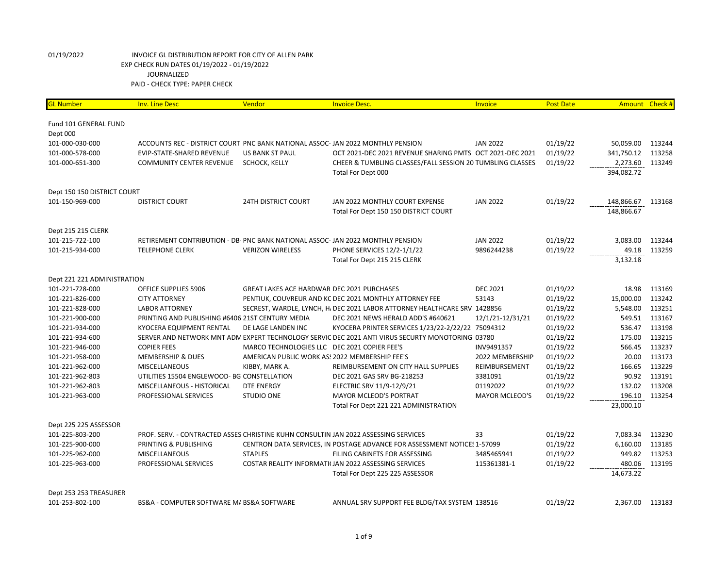| <b>GL Number</b>            | <b>Inv. Line Desc</b>                                                               | Vendor                                            | <b>Invoice Desc.</b>                                                                             | <b>Invoice</b>        | <b>Post Date</b> | Amount          | Check# |
|-----------------------------|-------------------------------------------------------------------------------------|---------------------------------------------------|--------------------------------------------------------------------------------------------------|-----------------------|------------------|-----------------|--------|
| Fund 101 GENERAL FUND       |                                                                                     |                                                   |                                                                                                  |                       |                  |                 |        |
| Dept 000                    |                                                                                     |                                                   |                                                                                                  |                       |                  |                 |        |
| 101-000-030-000             | ACCOUNTS REC - DISTRICT COURT PNC BANK NATIONAL ASSOC-JAN 2022 MONTHLY PENSION      |                                                   |                                                                                                  | <b>JAN 2022</b>       | 01/19/22         | 50,059.00       | 113244 |
| 101-000-578-000             | EVIP-STATE-SHARED REVENUE                                                           | <b>US BANK ST PAUL</b>                            | OCT 2021-DEC 2021 REVENUE SHARING PMTS OCT 2021-DEC 2021                                         |                       | 01/19/22         | 341,750.12      | 113258 |
| 101-000-651-300             | <b>COMMUNITY CENTER REVENUE</b>                                                     | SCHOCK, KELLY                                     | CHEER & TUMBLING CLASSES/FALL SESSION 20 TUMBLING CLASSES                                        |                       | 01/19/22         | 2,273.60        | 113249 |
|                             |                                                                                     |                                                   | Total For Dept 000                                                                               |                       |                  | 394,082.72      |        |
| Dept 150 150 DISTRICT COURT |                                                                                     |                                                   |                                                                                                  |                       |                  |                 |        |
| 101-150-969-000             | <b>DISTRICT COURT</b>                                                               | <b>24TH DISTRICT COURT</b>                        | JAN 2022 MONTHLY COURT EXPENSE                                                                   | <b>JAN 2022</b>       | 01/19/22         | 148,866.67      | 113168 |
|                             |                                                                                     |                                                   | Total For Dept 150 150 DISTRICT COURT                                                            |                       |                  | 148,866.67      |        |
| Dept 215 215 CLERK          |                                                                                     |                                                   |                                                                                                  |                       |                  |                 |        |
| 101-215-722-100             | RETIREMENT CONTRIBUTION - DB- PNC BANK NATIONAL ASSOC-JAN 2022 MONTHLY PENSION      |                                                   |                                                                                                  | <b>JAN 2022</b>       | 01/19/22         | 3,083.00        | 113244 |
| 101-215-934-000             | <b>TELEPHONE CLERK</b>                                                              | <b>VERIZON WIRELESS</b>                           | <b>PHONE SERVICES 12/2-1/1/22</b>                                                                | 9896244238            | 01/19/22         | 49.18           | 113259 |
|                             |                                                                                     |                                                   | Total For Dept 215 215 CLERK                                                                     |                       |                  | 3,132.18        |        |
| Dept 221 221 ADMINISTRATION |                                                                                     |                                                   |                                                                                                  |                       |                  |                 |        |
| 101-221-728-000             | OFFICE SUPPLIES 5906                                                                | <b>GREAT LAKES ACE HARDWAR DEC 2021 PURCHASES</b> |                                                                                                  | <b>DEC 2021</b>       | 01/19/22         | 18.98           | 113169 |
| 101-221-826-000             | <b>CITY ATTORNEY</b>                                                                |                                                   | PENTIUK, COUVREUR AND KC DEC 2021 MONTHLY ATTORNEY FEE                                           | 53143                 | 01/19/22         | 15,000.00       | 113242 |
| 101-221-828-000             | <b>LABOR ATTORNEY</b>                                                               |                                                   | SECREST, WARDLE, LYNCH, H, DEC 2021 LABOR ATTORNEY HEALTHCARE SRV 1428856                        |                       | 01/19/22         | 5,548.00        | 113251 |
| 101-221-900-000             | PRINTING AND PUBLISHING #6406 21ST CENTURY MEDIA                                    |                                                   | DEC 2021 NEWS HERALD ADD'S #640621                                                               | 12/1/21-12/31/21      | 01/19/22         | 549.51          | 113167 |
| 101-221-934-000             | <b>KYOCERA EQUIPMENT RENTAL</b>                                                     | DE LAGE LANDEN INC                                | KYOCERA PRINTER SERVICES 1/23/22-2/22/22 75094312                                                |                       | 01/19/22         | 536.47          | 113198 |
| 101-221-934-600             |                                                                                     |                                                   | SERVER AND NETWORK MNT ADM EXPERT TECHNOLOGY SERVIC DEC 2021 ANTI VIRUS SECURTY MONOTORING 03780 |                       | 01/19/22         | 175.00          | 113215 |
| 101-221-946-000             | <b>COPIER FEES</b>                                                                  | MARCO TECHNOLOGIES LLC DEC 2021 COPIER FEE'S      |                                                                                                  | INV9491357            | 01/19/22         | 566.45          | 113237 |
| 101-221-958-000             | <b>MEMBERSHIP &amp; DUES</b>                                                        | AMERICAN PUBLIC WORK AS! 2022 MEMBERSHIP FEE'S    |                                                                                                  | 2022 MEMBERSHIP       | 01/19/22         | 20.00           | 113173 |
| 101-221-962-000             | <b>MISCELLANEOUS</b>                                                                | KIBBY, MARK A.                                    | REIMBURSEMENT ON CITY HALL SUPPLIES                                                              | REIMBURSEMENT         | 01/19/22         | 166.65          | 113229 |
| 101-221-962-803             | UTILITIES 15504 ENGLEWOOD- BG CONSTELLATION                                         |                                                   | DEC 2021 GAS SRV BG-218253                                                                       | 3381091               | 01/19/22         | 90.92           | 113191 |
| 101-221-962-803             | MISCELLANEOUS - HISTORICAL                                                          | <b>DTE ENERGY</b>                                 | ELECTRIC SRV 11/9-12/9/21                                                                        | 01192022              | 01/19/22         | 132.02          | 113208 |
| 101-221-963-000             | PROFESSIONAL SERVICES                                                               | <b>STUDIO ONE</b>                                 | <b>MAYOR MCLEOD'S PORTRAT</b>                                                                    | <b>MAYOR MCLEOD'S</b> | 01/19/22         | 196.10          | 113254 |
|                             |                                                                                     |                                                   | Total For Dept 221 221 ADMINISTRATION                                                            |                       |                  | 23,000.10       |        |
| Dept 225 225 ASSESSOR       |                                                                                     |                                                   |                                                                                                  |                       |                  |                 |        |
| 101-225-803-200             | PROF. SERV. - CONTRACTED ASSES CHRISTINE KUHN CONSULTIN JAN 2022 ASSESSING SERVICES |                                                   |                                                                                                  | 33                    | 01/19/22         | 7,083.34        | 113230 |
| 101-225-900-000             | PRINTING & PUBLISHING                                                               |                                                   | CENTRON DATA SERVICES, IN POSTAGE ADVANCE FOR ASSESSMENT NOTICES 1-57099                         |                       | 01/19/22         | 6,160.00        | 113185 |
| 101-225-962-000             | MISCELLANEOUS                                                                       | <b>STAPLES</b>                                    | FILING CABINETS FOR ASSESSING                                                                    | 3485465941            | 01/19/22         | 949.82          | 113253 |
| 101-225-963-000             | PROFESSIONAL SERVICES                                                               |                                                   | COSTAR REALITY INFORMATI(JAN 2022 ASSESSING SERVICES                                             | 115361381-1           | 01/19/22         | 480.06          | 113195 |
|                             |                                                                                     |                                                   | Total For Dept 225 225 ASSESSOR                                                                  |                       |                  | 14,673.22       |        |
| Dept 253 253 TREASURER      |                                                                                     |                                                   |                                                                                                  |                       |                  |                 |        |
| 101-253-802-100             | BS&A - COMPUTER SOFTWARE MA BS&A SOFTWARE                                           |                                                   | ANNUAL SRV SUPPORT FEE BLDG/TAX SYSTEM 138516                                                    |                       | 01/19/22         | 2,367.00 113183 |        |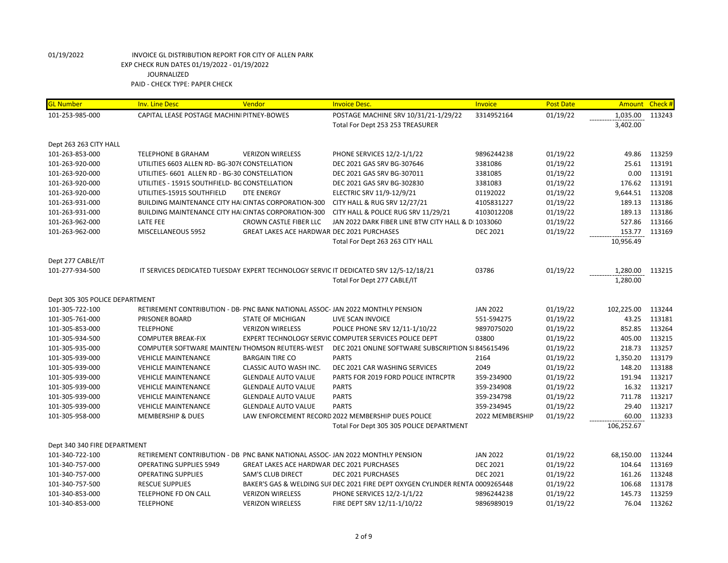| <b>GL Number</b>               | <b>Inv. Line Desc</b>                                                           | Vendor                                            | <b>Invoice Desc.</b>                                                                  | Invoice         | <b>Post Date</b> | Amount Check # |        |
|--------------------------------|---------------------------------------------------------------------------------|---------------------------------------------------|---------------------------------------------------------------------------------------|-----------------|------------------|----------------|--------|
| 101-253-985-000                | CAPITAL LEASE POSTAGE MACHINI PITNEY-BOWES                                      |                                                   | POSTAGE MACHINE SRV 10/31/21-1/29/22                                                  | 3314952164      | 01/19/22         | 1,035.00       | 113243 |
|                                |                                                                                 |                                                   | Total For Dept 253 253 TREASURER                                                      |                 |                  | 3,402.00       |        |
|                                |                                                                                 |                                                   |                                                                                       |                 |                  |                |        |
| Dept 263 263 CITY HALL         |                                                                                 |                                                   |                                                                                       |                 |                  |                |        |
| 101-263-853-000                | TELEPHONE B GRAHAM                                                              | <b>VERIZON WIRELESS</b>                           | PHONE SERVICES 12/2-1/1/22                                                            | 9896244238      | 01/19/22         | 49.86          | 113259 |
| 101-263-920-000                | UTILITIES 6603 ALLEN RD- BG-3076 CONSTELLATION                                  |                                                   | DEC 2021 GAS SRV BG-307646                                                            | 3381086         | 01/19/22         | 25.61          | 113191 |
| 101-263-920-000                | UTILITIES- 6601 ALLEN RD - BG-30 CONSTELLATION                                  |                                                   | DEC 2021 GAS SRV BG-307011                                                            | 3381085         | 01/19/22         | 0.00           | 113191 |
| 101-263-920-000                | UTILITIES - 15915 SOUTHFIELD- BG CONSTELLATION                                  |                                                   | DEC 2021 GAS SRV BG-302830                                                            | 3381083         | 01/19/22         | 176.62         | 113191 |
| 101-263-920-000                | UTILITIES-15915 SOUTHFIELD                                                      | <b>DTE ENERGY</b>                                 | ELECTRIC SRV 11/9-12/9/21                                                             | 01192022        | 01/19/22         | 9,644.51       | 113208 |
| 101-263-931-000                | BUILDING MAINTENANCE CITY HAI CINTAS CORPORATION-300                            |                                                   | CITY HALL & RUG SRV 12/27/21                                                          | 4105831227      | 01/19/22         | 189.13         | 113186 |
| 101-263-931-000                | BUILDING MAINTENANCE CITY HAI CINTAS CORPORATION-300                            |                                                   | CITY HALL & POLICE RUG SRV 11/29/21                                                   | 4103012208      | 01/19/22         | 189.13         | 113186 |
| 101-263-962-000                | LATE FEE                                                                        | CROWN CASTLE FIBER LLC                            | JAN 2022 DARK FIBER LINE BTW CITY HALL & DI 1033060                                   |                 | 01/19/22         | 527.86         | 113166 |
| 101-263-962-000                | MISCELLANEOUS 5952                                                              | <b>GREAT LAKES ACE HARDWAR DEC 2021 PURCHASES</b> |                                                                                       | <b>DEC 2021</b> | 01/19/22         | 153.77         | 113169 |
|                                |                                                                                 |                                                   | Total For Dept 263 263 CITY HALL                                                      |                 |                  | 10,956.49      |        |
|                                |                                                                                 |                                                   |                                                                                       |                 |                  |                |        |
| Dept 277 CABLE/IT              |                                                                                 |                                                   |                                                                                       |                 |                  |                |        |
| 101-277-934-500                |                                                                                 |                                                   | IT SERVICES DEDICATED TUESDAY EXPERT TECHNOLOGY SERVIC IT DEDICATED SRV 12/5-12/18/21 | 03786           | 01/19/22         | 1,280.00       | 113215 |
|                                |                                                                                 |                                                   | Total For Dept 277 CABLE/IT                                                           |                 |                  | 1,280.00       |        |
| Dept 305 305 POLICE DEPARTMENT |                                                                                 |                                                   |                                                                                       |                 |                  |                |        |
| 101-305-722-100                | RETIREMENT CONTRIBUTION - DB- PNC BANK NATIONAL ASSOC- JAN 2022 MONTHLY PENSION |                                                   |                                                                                       | <b>JAN 2022</b> | 01/19/22         | 102,225.00     | 113244 |
| 101-305-761-000                | <b>PRISONER BOARD</b>                                                           | <b>STATE OF MICHIGAN</b>                          | LIVE SCAN INVOICE                                                                     | 551-594275      | 01/19/22         | 43.25          | 113181 |
| 101-305-853-000                | <b>TELEPHONE</b>                                                                | <b>VERIZON WIRELESS</b>                           | POLICE PHONE SRV 12/11-1/10/22                                                        | 9897075020      | 01/19/22         | 852.85         | 113264 |
| 101-305-934-500                | <b>COMPUTER BREAK-FIX</b>                                                       |                                                   | EXPERT TECHNOLOGY SERVIC COMPUTER SERVICES POLICE DEPT                                | 03800           | 01/19/22         | 405.00         | 113215 |
| 101-305-935-000                | COMPUTER SOFTWARE MAINTEN/THOMSON REUTERS-WEST                                  |                                                   | DEC 2021 ONLINE SOFTWARE SUBSCRIPTION SI845615496                                     |                 | 01/19/22         | 218.73         | 113257 |
| 101-305-939-000                | <b>VEHICLE MAINTENANCE</b>                                                      | <b>BARGAIN TIRE CO</b>                            | <b>PARTS</b>                                                                          | 2164            | 01/19/22         | 1,350.20       | 113179 |
| 101-305-939-000                | <b>VEHICLE MAINTENANCE</b>                                                      | CLASSIC AUTO WASH INC.                            | DEC 2021 CAR WASHING SERVICES                                                         | 2049            | 01/19/22         | 148.20         | 113188 |
| 101-305-939-000                | <b>VEHICLE MAINTENANCE</b>                                                      | <b>GLENDALE AUTO VALUE</b>                        | PARTS FOR 2019 FORD POLICE INTRCPTR                                                   | 359-234900      | 01/19/22         | 191.94         | 113217 |
| 101-305-939-000                | <b>VEHICLE MAINTENANCE</b>                                                      | <b>GLENDALE AUTO VALUE</b>                        | <b>PARTS</b>                                                                          | 359-234908      | 01/19/22         | 16.32          | 113217 |
| 101-305-939-000                | <b>VEHICLE MAINTENANCE</b>                                                      | <b>GLENDALE AUTO VALUE</b>                        | <b>PARTS</b>                                                                          | 359-234798      | 01/19/22         | 711.78         | 113217 |
| 101-305-939-000                | <b>VEHICLE MAINTENANCE</b>                                                      | <b>GLENDALE AUTO VALUE</b>                        | <b>PARTS</b>                                                                          | 359-234945      | 01/19/22         | 29.40          | 113217 |
| 101-305-958-000                | <b>MEMBERSHIP &amp; DUES</b>                                                    |                                                   | LAW ENFORCEMENT RECORD 2022 MEMBERSHIP DUES POLICE                                    | 2022 MEMBERSHIP | 01/19/22         | 60.00          | 113233 |
|                                |                                                                                 |                                                   | Total For Dept 305 305 POLICE DEPARTMENT                                              |                 |                  | 106,252.67     |        |
|                                |                                                                                 |                                                   |                                                                                       |                 |                  |                |        |
| Dept 340 340 FIRE DEPARTMENT   |                                                                                 |                                                   |                                                                                       |                 |                  |                |        |
| 101-340-722-100                | RETIREMENT CONTRIBUTION - DB PNC BANK NATIONAL ASSOC- JAN 2022 MONTHLY PENSION  |                                                   |                                                                                       | <b>JAN 2022</b> | 01/19/22         | 68,150.00      | 113244 |
| 101-340-757-000                | <b>OPERATING SUPPLIES 5949</b>                                                  | <b>GREAT LAKES ACE HARDWAR DEC 2021 PURCHASES</b> |                                                                                       | <b>DEC 2021</b> | 01/19/22         | 104.64         | 113169 |
| 101-340-757-000                | <b>OPERATING SUPPLIES</b>                                                       | <b>SAM'S CLUB DIRECT</b>                          | <b>DEC 2021 PURCHASES</b>                                                             | <b>DEC 2021</b> | 01/19/22         | 161.26         | 113248 |
| 101-340-757-500                | <b>RESCUE SUPPLIES</b>                                                          |                                                   | BAKER'S GAS & WELDING SUI DEC 2021 FIRE DEPT OXYGEN CYLINDER RENTAL 0009265448        |                 | 01/19/22         | 106.68         | 113178 |
| 101-340-853-000                | TELEPHONE FD ON CALL                                                            | <b>VERIZON WIRELESS</b>                           | PHONE SERVICES 12/2-1/1/22                                                            | 9896244238      | 01/19/22         | 145.73         | 113259 |
| 101-340-853-000                | <b>TELEPHONE</b>                                                                | <b>VERIZON WIRELESS</b>                           | FIRE DEPT SRV 12/11-1/10/22                                                           | 9896989019      | 01/19/22         | 76.04          | 113262 |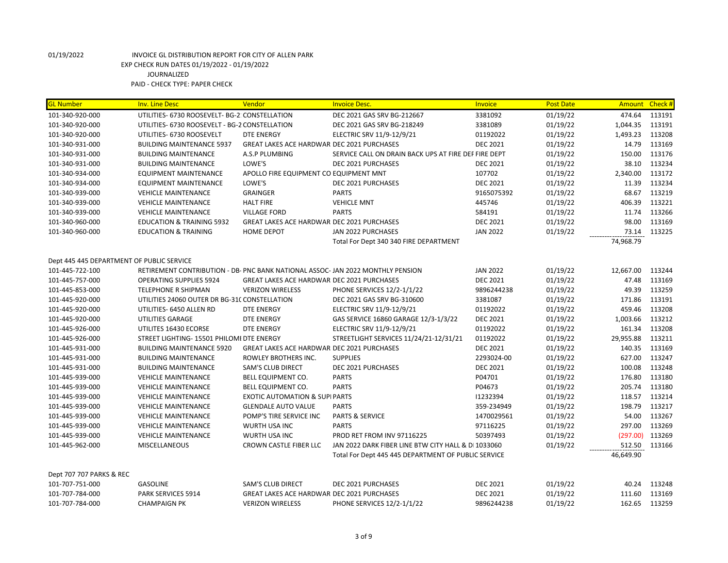| <b>GL Number</b>                          | <b>Inv. Line Desc</b>                                                           | Vendor                                            | <b>Invoice Desc.</b>                                 | Invoice         | <b>Post Date</b> | Amount Check # |        |
|-------------------------------------------|---------------------------------------------------------------------------------|---------------------------------------------------|------------------------------------------------------|-----------------|------------------|----------------|--------|
| 101-340-920-000                           | UTILITIES- 6730 ROOSEVELT- BG-2: CONSTELLATION                                  |                                                   | DEC 2021 GAS SRV BG-212667                           | 3381092         | 01/19/22         | 474.64         | 113191 |
| 101-340-920-000                           | UTILITIES- 6730 ROOSEVELT - BG-2 CONSTELLATION                                  |                                                   | DEC 2021 GAS SRV BG-218249                           | 3381089         | 01/19/22         | 1,044.35       | 113191 |
| 101-340-920-000                           | UTILITIES- 6730 ROOSEVELT                                                       | <b>DTE ENERGY</b>                                 | ELECTRIC SRV 11/9-12/9/21                            | 01192022        | 01/19/22         | 1,493.23       | 113208 |
| 101-340-931-000                           | <b>BUILDING MAINTENANCE 5937</b>                                                | <b>GREAT LAKES ACE HARDWAR DEC 2021 PURCHASES</b> |                                                      | <b>DEC 2021</b> | 01/19/22         | 14.79          | 113169 |
| 101-340-931-000                           | <b>BUILDING MAINTENANCE</b>                                                     | A.S.P PLUMBING                                    | SERVICE CALL ON DRAIN BACK UPS AT FIRE DEP FIRE DEPT |                 | 01/19/22         | 150.00         | 113176 |
| 101-340-931-000                           | <b>BUILDING MAINTENANCE</b>                                                     | LOWE'S                                            | DEC 2021 PURCHASES                                   | <b>DEC 2021</b> | 01/19/22         | 38.10          | 113234 |
| 101-340-934-000                           | <b>EQUIPMENT MAINTENANCE</b>                                                    | APOLLO FIRE EQUIPMENT CO EQUIPMENT MNT            |                                                      | 107702          | 01/19/22         | 2,340.00       | 113172 |
| 101-340-934-000                           | <b>EQUIPMENT MAINTENANCE</b>                                                    | LOWE'S                                            | DEC 2021 PURCHASES                                   | <b>DEC 2021</b> | 01/19/22         | 11.39          | 113234 |
| 101-340-939-000                           | <b>VEHICLE MAINTENANCE</b>                                                      | <b>GRAINGER</b>                                   | <b>PARTS</b>                                         | 9165075392      | 01/19/22         | 68.67          | 113219 |
| 101-340-939-000                           | <b>VEHICLE MAINTENANCE</b>                                                      | <b>HALT FIRE</b>                                  | <b>VEHICLE MNT</b>                                   | 445746          | 01/19/22         | 406.39         | 113221 |
| 101-340-939-000                           | <b>VEHICLE MAINTENANCE</b>                                                      | <b>VILLAGE FORD</b>                               | <b>PARTS</b>                                         | 584191          | 01/19/22         | 11.74          | 113266 |
| 101-340-960-000                           | <b>EDUCATION &amp; TRAINING 5932</b>                                            | GREAT LAKES ACE HARDWAR DEC 2021 PURCHASES        |                                                      | <b>DEC 2021</b> | 01/19/22         | 98.00          | 113169 |
| 101-340-960-000                           | <b>EDUCATION &amp; TRAINING</b>                                                 | <b>HOME DEPOT</b>                                 | JAN 2022 PURCHASES                                   | <b>JAN 2022</b> | 01/19/22         | 73.14          | 113225 |
|                                           |                                                                                 |                                                   | Total For Dept 340 340 FIRE DEPARTMENT               |                 |                  | 74,968.79      |        |
|                                           |                                                                                 |                                                   |                                                      |                 |                  |                |        |
| Dept 445 445 DEPARTMENT OF PUBLIC SERVICE |                                                                                 |                                                   |                                                      |                 |                  |                |        |
| 101-445-722-100                           | RETIREMENT CONTRIBUTION - DB- PNC BANK NATIONAL ASSOC- JAN 2022 MONTHLY PENSION |                                                   |                                                      | <b>JAN 2022</b> | 01/19/22         | 12,667.00      | 113244 |
| 101-445-757-000                           | <b>OPERATING SUPPLIES 5924</b>                                                  | <b>GREAT LAKES ACE HARDWAR DEC 2021 PURCHASES</b> |                                                      | <b>DEC 2021</b> | 01/19/22         | 47.48          | 113169 |
| 101-445-853-000                           | <b>TELEPHONE R SHIPMAN</b>                                                      | <b>VERIZON WIRELESS</b>                           | PHONE SERVICES 12/2-1/1/22                           | 9896244238      | 01/19/22         | 49.39          | 113259 |
| 101-445-920-000                           | UTILITIES 24060 OUTER DR BG-31C CONSTELLATION                                   |                                                   | DEC 2021 GAS SRV BG-310600                           | 3381087         | 01/19/22         | 171.86         | 113191 |
| 101-445-920-000                           | UTILITIES- 6450 ALLEN RD                                                        | <b>DTE ENERGY</b>                                 | ELECTRIC SRV 11/9-12/9/21                            | 01192022        | 01/19/22         | 459.46         | 113208 |
| 101-445-920-000                           | UTILITIES GARAGE                                                                | <b>DTE ENERGY</b>                                 | GAS SERVICE 16860 GARAGE 12/3-1/3/22                 | <b>DEC 2021</b> | 01/19/22         | 1,003.66       | 113212 |
| 101-445-926-000                           | UTILITES 16430 ECORSE                                                           | DTE ENERGY                                        | ELECTRIC SRV 11/9-12/9/21                            | 01192022        | 01/19/22         | 161.34         | 113208 |
| 101-445-926-000                           | STREET LIGHTING- 15501 PHILOMI DTE ENERGY                                       |                                                   | STREETLIGHT SERVICES 11/24/21-12/31/21               | 01192022        | 01/19/22         | 29,955.88      | 113211 |
| 101-445-931-000                           | <b>BUILDING MAINTENANCE 5920</b>                                                | <b>GREAT LAKES ACE HARDWAR DEC 2021 PURCHASES</b> |                                                      | <b>DEC 2021</b> | 01/19/22         | 140.35         | 113169 |
| 101-445-931-000                           | <b>BUILDING MAINTENANCE</b>                                                     | ROWLEY BROTHERS INC.                              | <b>SUPPLIES</b>                                      | 2293024-00      | 01/19/22         | 627.00         | 113247 |
| 101-445-931-000                           | <b>BUILDING MAINTENANCE</b>                                                     | <b>SAM'S CLUB DIRECT</b>                          | DEC 2021 PURCHASES                                   | <b>DEC 2021</b> | 01/19/22         | 100.08         | 113248 |
| 101-445-939-000                           | <b>VEHICLE MAINTENANCE</b>                                                      | <b>BELL EQUIPMENT CO.</b>                         | <b>PARTS</b>                                         | P04701          | 01/19/22         | 176.80         | 113180 |
| 101-445-939-000                           | <b>VEHICLE MAINTENANCE</b>                                                      | <b>BELL EQUIPMENT CO.</b>                         | <b>PARTS</b>                                         | P04673          | 01/19/22         | 205.74         | 113180 |
| 101-445-939-000                           | <b>VEHICLE MAINTENANCE</b>                                                      | <b>EXOTIC AUTOMATION &amp; SUPI PARTS</b>         |                                                      | 11232394        | 01/19/22         | 118.57         | 113214 |
| 101-445-939-000                           | <b>VEHICLE MAINTENANCE</b>                                                      | <b>GLENDALE AUTO VALUE</b>                        | <b>PARTS</b>                                         | 359-234949      | 01/19/22         | 198.79         | 113217 |
| 101-445-939-000                           | <b>VEHICLE MAINTENANCE</b>                                                      | POMP'S TIRE SERVICE INC                           | <b>PARTS &amp; SERVICE</b>                           | 1470029561      | 01/19/22         | 54.00          | 113267 |
| 101-445-939-000                           | <b>VEHICLE MAINTENANCE</b>                                                      | WURTH USA INC                                     | <b>PARTS</b>                                         | 97116225        | 01/19/22         | 297.00         | 113269 |
| 101-445-939-000                           | <b>VEHICLE MAINTENANCE</b>                                                      | WURTH USA INC                                     | PROD RET FROM INV 97116225                           | 50397493        | 01/19/22         | (297.00)       | 113269 |
| 101-445-962-000                           | <b>MISCELLANEOUS</b>                                                            | CROWN CASTLE FIBER LLC                            | JAN 2022 DARK FIBER LINE BTW CITY HALL & DI 1033060  |                 | 01/19/22         | 512.50         | 113166 |
|                                           |                                                                                 |                                                   | Total For Dept 445 445 DEPARTMENT OF PUBLIC SERVICE  |                 |                  | 46,649.90      |        |
|                                           |                                                                                 |                                                   |                                                      |                 |                  |                |        |
| Dept 707 707 PARKS & REC                  |                                                                                 |                                                   |                                                      |                 |                  |                |        |
| 101-707-751-000                           | GASOLINE                                                                        | <b>SAM'S CLUB DIRECT</b>                          | DEC 2021 PURCHASES                                   | <b>DEC 2021</b> | 01/19/22         | 40.24          | 113248 |
| 101-707-784-000                           | PARK SERVICES 5914                                                              | GREAT LAKES ACE HARDWAR DEC 2021 PURCHASES        |                                                      | <b>DEC 2021</b> | 01/19/22         | 111.60         | 113169 |
| 101-707-784-000                           | <b>CHAMPAIGN PK</b>                                                             | <b>VERIZON WIRELESS</b>                           | PHONE SERVICES 12/2-1/1/22                           | 9896244238      | 01/19/22         | 162.65         | 113259 |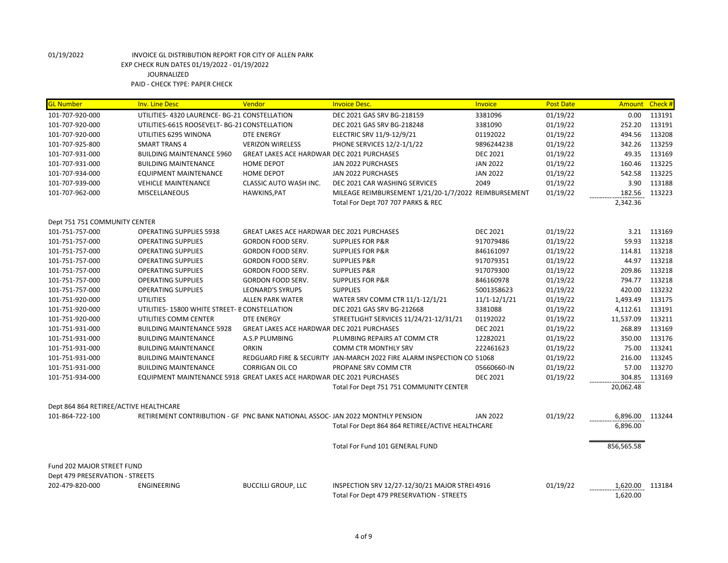| <b>GL Number</b>                       | <b>Inv. Line Desc</b>                                                         | Vendor                                            | <b>Invoice Desc.</b>                                                    | Invoice          | <b>Post Date</b> | Amount Check # |        |
|----------------------------------------|-------------------------------------------------------------------------------|---------------------------------------------------|-------------------------------------------------------------------------|------------------|------------------|----------------|--------|
| 101-707-920-000                        | UTILITIES- 4320 LAURENCE- BG-21 CONSTELLATION                                 |                                                   | DEC 2021 GAS SRV BG-218159                                              | 3381096          | 01/19/22         | 0.00           | 113191 |
| 101-707-920-000                        | UTILITIES-6615 ROOSEVELT- BG-21 CONSTELLATION                                 |                                                   | DEC 2021 GAS SRV BG-218248                                              | 3381090          | 01/19/22         | 252.20         | 113191 |
| 101-707-920-000                        | UTILITIES 6295 WINONA                                                         | <b>DTE ENERGY</b>                                 | ELECTRIC SRV 11/9-12/9/21                                               | 01192022         | 01/19/22         | 494.56         | 113208 |
| 101-707-925-800                        | <b>SMART TRANS 4</b>                                                          | <b>VERIZON WIRELESS</b>                           | PHONE SERVICES 12/2-1/1/22                                              | 9896244238       | 01/19/22         | 342.26         | 113259 |
| 101-707-931-000                        | <b>BUILDING MAINTENANCE 5960</b>                                              | <b>GREAT LAKES ACE HARDWAR DEC 2021 PURCHASES</b> |                                                                         | <b>DEC 2021</b>  | 01/19/22         | 49.35          | 113169 |
| 101-707-931-000                        | <b>BUILDING MAINTENANCE</b>                                                   | <b>HOME DEPOT</b>                                 | JAN 2022 PURCHASES                                                      | <b>JAN 2022</b>  | 01/19/22         | 160.46         | 113225 |
| 101-707-934-000                        | <b>EQUIPMENT MAINTENANCE</b>                                                  | <b>HOME DEPOT</b>                                 | JAN 2022 PURCHASES                                                      | <b>JAN 2022</b>  | 01/19/22         | 542.58         | 113225 |
| 101-707-939-000                        | <b>VEHICLE MAINTENANCE</b>                                                    | CLASSIC AUTO WASH INC.                            | DEC 2021 CAR WASHING SERVICES                                           | 2049             | 01/19/22         | 3.90           | 113188 |
| 101-707-962-000                        | <b>MISCELLANEOUS</b>                                                          | HAWKINS, PAT                                      | MILEAGE REIMBURSEMENT 1/21/20-1/7/2022 REIMBURSEMENT                    |                  | 01/19/22         | 182.56         | 113223 |
|                                        |                                                                               |                                                   | Total For Dept 707 707 PARKS & REC                                      |                  |                  | 2,342.36       |        |
| Dept 751 751 COMMUNITY CENTER          |                                                                               |                                                   |                                                                         |                  |                  |                |        |
| 101-751-757-000                        | <b>OPERATING SUPPLIES 5938</b>                                                | <b>GREAT LAKES ACE HARDWAR DEC 2021 PURCHASES</b> |                                                                         | <b>DEC 2021</b>  | 01/19/22         | 3.21           | 113169 |
| 101-751-757-000                        | <b>OPERATING SUPPLIES</b>                                                     | <b>GORDON FOOD SERV.</b>                          | <b>SUPPLIES FOR P&amp;R</b>                                             | 917079486        | 01/19/22         | 59.93          | 113218 |
| 101-751-757-000                        | <b>OPERATING SUPPLIES</b>                                                     | GORDON FOOD SERV.                                 | <b>SUPPLIES FOR P&amp;R</b>                                             | 846161097        | 01/19/22         | 114.81         | 113218 |
| 101-751-757-000                        | <b>OPERATING SUPPLIES</b>                                                     | GORDON FOOD SERV.                                 | <b>SUPPLIES P&amp;R</b>                                                 | 917079351        | 01/19/22         | 44.97          | 113218 |
| 101-751-757-000                        | <b>OPERATING SUPPLIES</b>                                                     | GORDON FOOD SERV.                                 | <b>SUPPLIES P&amp;R</b>                                                 | 917079300        | 01/19/22         | 209.86         | 113218 |
| 101-751-757-000                        | <b>OPERATING SUPPLIES</b>                                                     | GORDON FOOD SERV.                                 | <b>SUPPLIES FOR P&amp;R</b>                                             | 846160978        | 01/19/22         | 794.77         | 113218 |
| 101-751-757-000                        | <b>OPERATING SUPPLIES</b>                                                     | <b>LEONARD'S SYRUPS</b>                           | <b>SUPPLIES</b>                                                         | 5001358623       | 01/19/22         | 420.00         | 113232 |
| 101-751-920-000                        | <b>UTILITIES</b>                                                              | <b>ALLEN PARK WATER</b>                           | WATER SRV COMM CTR 11/1-12/1/21                                         | $11/1 - 12/1/21$ | 01/19/22         | 1,493.49       | 113175 |
| 101-751-920-000                        | UTILITIES-15800 WHITE STREET- B CONSTELLATION                                 |                                                   | DEC 2021 GAS SRV BG-212668                                              | 3381088          | 01/19/22         | 4,112.61       | 113191 |
| 101-751-920-000                        | UTILITIES COMM CENTER                                                         | <b>DTE ENERGY</b>                                 | STREETLIGHT SERVICES 11/24/21-12/31/21                                  | 01192022         | 01/19/22         | 11,537.09      | 113211 |
| 101-751-931-000                        | <b>BUILDING MAINTENANCE 5928</b>                                              | GREAT LAKES ACE HARDWAR DEC 2021 PURCHASES        |                                                                         | <b>DEC 2021</b>  | 01/19/22         | 268.89         | 113169 |
| 101-751-931-000                        | <b>BUILDING MAINTENANCE</b>                                                   | A.S.P PLUMBING                                    | PLUMBING REPAIRS AT COMM CTR                                            | 12282021         | 01/19/22         | 350.00         | 113176 |
| 101-751-931-000                        | <b>BUILDING MAINTENANCE</b>                                                   | <b>ORKIN</b>                                      | COMM CTR MONTHLY SRV                                                    | 222461623        | 01/19/22         | 75.00          | 113241 |
| 101-751-931-000                        | <b>BUILDING MAINTENANCE</b>                                                   |                                                   | REDGUARD FIRE & SECURITY JAN-MARCH 2022 FIRE ALARM INSPECTION COI 51068 |                  | 01/19/22         | 216.00         | 113245 |
| 101-751-931-000                        | <b>BUILDING MAINTENANCE</b>                                                   | <b>CORRIGAN OIL CO</b>                            | PROPANE SRV COMM CTR                                                    | 05660660-IN      | 01/19/22         | 57.00          | 113270 |
| 101-751-934-000                        | EQUIPMENT MAINTENANCE 5918 GREAT LAKES ACE HARDWAR DEC 2021 PURCHASES         |                                                   |                                                                         | <b>DEC 2021</b>  | 01/19/22         | 304.85         | 113169 |
|                                        |                                                                               |                                                   | Total For Dept 751 751 COMMUNITY CENTER                                 |                  |                  | 20,062.48      |        |
| Dept 864 864 RETIREE/ACTIVE HEALTHCARE |                                                                               |                                                   |                                                                         |                  |                  |                |        |
| 101-864-722-100                        | RETIREMENT CONTRIBUTION - GF PNC BANK NATIONAL ASSOC-JAN 2022 MONTHLY PENSION |                                                   |                                                                         | <b>JAN 2022</b>  | 01/19/22         | 6,896.00       | 113244 |
|                                        |                                                                               |                                                   | Total For Dept 864 864 RETIREE/ACTIVE HEALTHCARE                        |                  |                  | 6,896.00       |        |
|                                        |                                                                               |                                                   | Total For Fund 101 GENERAL FUND                                         |                  |                  | 856,565.58     |        |
| Fund 202 MAJOR STREET FUND             |                                                                               |                                                   |                                                                         |                  |                  |                |        |
| Dept 479 PRESERVATION - STREETS        |                                                                               |                                                   |                                                                         |                  |                  |                |        |
| 202-479-820-000                        | ENGINEERING                                                                   | <b>BUCCILLI GROUP, LLC</b>                        | INSPECTION SRV 12/27-12/30/21 MAJOR STREI 4916                          |                  | 01/19/22         | 1,620.00       | 113184 |
|                                        |                                                                               |                                                   | Total For Dept 479 PRESERVATION - STREETS                               |                  |                  | 1,620.00       |        |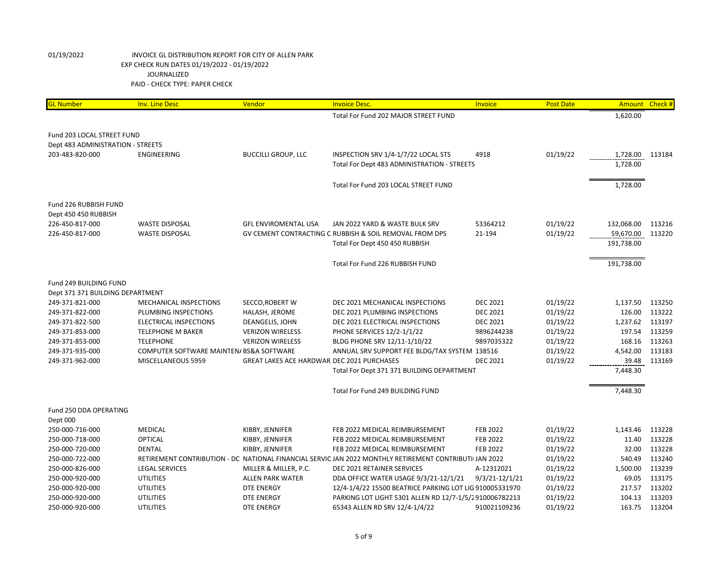| <b>GL Number</b>                   | <b>Inv. Line Desc</b>                          | Vendor                                            | <b>Invoice Desc.</b>                                                                                   | Invoice            | <b>Post Date</b>     | Amount Check #          |                  |
|------------------------------------|------------------------------------------------|---------------------------------------------------|--------------------------------------------------------------------------------------------------------|--------------------|----------------------|-------------------------|------------------|
|                                    |                                                |                                                   | Total For Fund 202 MAJOR STREET FUND                                                                   |                    |                      | 1,620.00                |                  |
|                                    |                                                |                                                   |                                                                                                        |                    |                      |                         |                  |
| Fund 203 LOCAL STREET FUND         |                                                |                                                   |                                                                                                        |                    |                      |                         |                  |
| Dept 483 ADMINISTRATION - STREETS  |                                                |                                                   |                                                                                                        |                    |                      |                         |                  |
| 203-483-820-000                    | ENGINEERING                                    | <b>BUCCILLI GROUP, LLC</b>                        | INSPECTION SRV 1/4-1/7/22 LOCAL STS                                                                    | 4918               | 01/19/22             | 1,728.00                | 113184           |
|                                    |                                                |                                                   | Total For Dept 483 ADMINISTRATION - STREETS                                                            |                    |                      | 1,728.00                |                  |
|                                    |                                                |                                                   |                                                                                                        |                    |                      |                         |                  |
|                                    |                                                |                                                   | Total For Fund 203 LOCAL STREET FUND                                                                   |                    |                      | 1,728.00                |                  |
|                                    |                                                |                                                   |                                                                                                        |                    |                      |                         |                  |
| Fund 226 RUBBISH FUND              |                                                |                                                   |                                                                                                        |                    |                      |                         |                  |
| Dept 450 450 RUBBISH               |                                                |                                                   |                                                                                                        |                    |                      |                         |                  |
| 226-450-817-000<br>226-450-817-000 | <b>WASTE DISPOSAL</b><br><b>WASTE DISPOSAL</b> | <b>GFL ENVIROMENTAL USA</b>                       | JAN 2022 YARD & WASTE BULK SRV<br>GV CEMENT CONTRACTING C RUBBISH & SOIL REMOVAL FROM DPS              | 53364212<br>21-194 | 01/19/22<br>01/19/22 | 132,068.00<br>59,670.00 | 113216<br>113220 |
|                                    |                                                |                                                   | Total For Dept 450 450 RUBBISH                                                                         |                    |                      | 191,738.00              |                  |
|                                    |                                                |                                                   |                                                                                                        |                    |                      |                         |                  |
|                                    |                                                |                                                   | Total For Fund 226 RUBBISH FUND                                                                        |                    |                      | 191,738.00              |                  |
|                                    |                                                |                                                   |                                                                                                        |                    |                      |                         |                  |
| Fund 249 BUILDING FUND             |                                                |                                                   |                                                                                                        |                    |                      |                         |                  |
| Dept 371 371 BUILDING DEPARTMENT   |                                                |                                                   |                                                                                                        |                    |                      |                         |                  |
| 249-371-821-000                    | MECHANICAL INSPECTIONS                         | SECCO, ROBERT W                                   | DEC 2021 MECHANICAL INSPECTIONS                                                                        | <b>DEC 2021</b>    | 01/19/22             | 1,137.50                | 113250           |
| 249-371-822-000                    | PLUMBING INSPECTIONS                           | HALASH, JEROME                                    | DEC 2021 PLUMBING INSPECTIONS                                                                          | <b>DEC 2021</b>    | 01/19/22             | 126.00                  | 113222           |
| 249-371-822-500                    | ELECTRICAL INSPECTIONS                         | DEANGELIS, JOHN                                   | DEC 2021 ELECTRICAL INSPECTIONS                                                                        | <b>DEC 2021</b>    | 01/19/22             | 1,237.62                | 113197           |
| 249-371-853-000                    | TELEPHONE M BAKER                              | <b>VERIZON WIRELESS</b>                           | PHONE SERVICES 12/2-1/1/22                                                                             | 9896244238         | 01/19/22             | 197.54                  | 113259           |
| 249-371-853-000                    | <b>TELEPHONE</b>                               | <b>VERIZON WIRELESS</b>                           | BLDG PHONE SRV 12/11-1/10/22                                                                           | 9897035322         | 01/19/22             | 168.16                  | 113263           |
| 249-371-935-000                    | COMPUTER SOFTWARE MAINTEN/ BS&A SOFTWARE       |                                                   | ANNUAL SRV SUPPORT FEE BLDG/TAX SYSTEM 138516                                                          |                    | 01/19/22             | 4,542.00                | 113183           |
| 249-371-962-000                    | MISCELLANEOUS 5959                             | <b>GREAT LAKES ACE HARDWAR DEC 2021 PURCHASES</b> |                                                                                                        | <b>DEC 2021</b>    | 01/19/22             | 39.48                   | 113169           |
|                                    |                                                |                                                   | Total For Dept 371 371 BUILDING DEPARTMENT                                                             |                    |                      | 7,448.30                |                  |
|                                    |                                                |                                                   |                                                                                                        |                    |                      |                         |                  |
|                                    |                                                |                                                   | Total For Fund 249 BUILDING FUND                                                                       |                    |                      | 7,448.30                |                  |
| Fund 250 DDA OPERATING             |                                                |                                                   |                                                                                                        |                    |                      |                         |                  |
| Dept 000                           |                                                |                                                   |                                                                                                        |                    |                      |                         |                  |
| 250-000-716-000                    | <b>MEDICAL</b>                                 | KIBBY, JENNIFER                                   | FEB 2022 MEDICAL REIMBURSEMENT                                                                         | <b>FEB 2022</b>    | 01/19/22             | 1,143.46                | 113228           |
| 250-000-718-000                    | <b>OPTICAL</b>                                 | KIBBY, JENNIFER                                   | FEB 2022 MEDICAL REIMBURSEMENT                                                                         | <b>FEB 2022</b>    | 01/19/22             | 11.40                   | 113228           |
| 250-000-720-000                    | <b>DENTAL</b>                                  | KIBBY, JENNIFER                                   | FEB 2022 MEDICAL REIMBURSEMENT                                                                         | <b>FEB 2022</b>    | 01/19/22             | 32.00                   | 113228           |
| 250-000-722-000                    |                                                |                                                   | RETIREMENT CONTRIBUTION - DC NATIONAL FINANCIAL SERVIC JAN 2022 MONTHLY RETIREMENT CONTRIBUTIUJAN 2022 |                    | 01/19/22             | 540.49                  | 113240           |
| 250-000-826-000                    | <b>LEGAL SERVICES</b>                          | MILLER & MILLER, P.C.                             | DEC 2021 RETAINER SERVICES                                                                             | A-12312021         | 01/19/22             | 1,500.00                | 113239           |
| 250-000-920-000                    | <b>UTILITIES</b>                               | <b>ALLEN PARK WATER</b>                           | DDA OFFICE WATER USAGE 9/3/21-12/1/21                                                                  | 9/3/21-12/1/21     | 01/19/22             | 69.05                   | 113175           |
| 250-000-920-000                    | <b>UTILITIES</b>                               | <b>DTE ENERGY</b>                                 | 12/4-1/4/22 15500 BEATRICE PARKING LOT LIG 910005331970                                                |                    | 01/19/22             | 217.57                  | 113202           |
| 250-000-920-000                    | <b>UTILITIES</b>                               | <b>DTE ENERGY</b>                                 | PARKING LOT LIGHT 5301 ALLEN RD 12/7-1/5/2910006782213                                                 |                    | 01/19/22             | 104.13                  | 113203           |
| 250-000-920-000                    | <b>UTILITIES</b>                               | <b>DTE ENERGY</b>                                 | 65343 ALLEN RD SRV 12/4-1/4/22                                                                         | 910021109236       | 01/19/22             | 163.75                  | 113204           |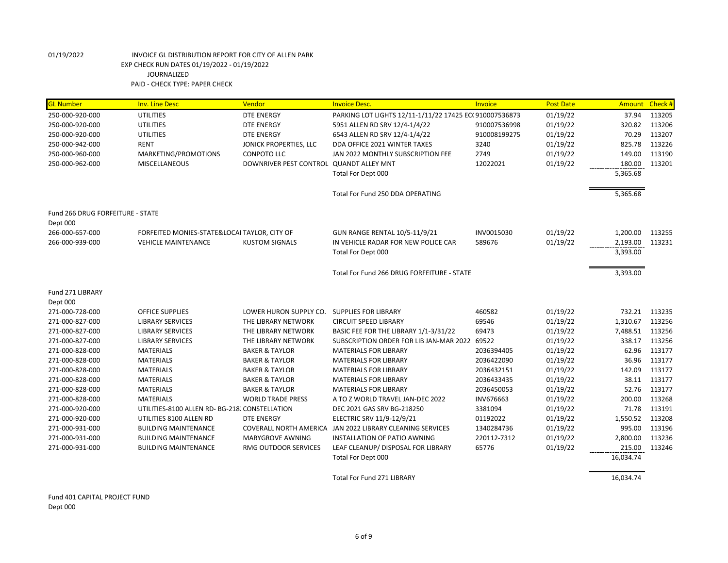| <b>GL Number</b>                 | <b>Inv. Line Desc</b>                          | Vendor                                      | <b>Invoice Desc.</b>                                   | Invoice      | <b>Post Date</b> | <b>Amount</b> | Check # |
|----------------------------------|------------------------------------------------|---------------------------------------------|--------------------------------------------------------|--------------|------------------|---------------|---------|
| 250-000-920-000                  | <b>UTILITIES</b>                               | <b>DTE ENERGY</b>                           | PARKING LOT LIGHTS 12/11-1/11/22 17425 EC(910007536873 |              | 01/19/22         | 37.94         | 113205  |
| 250-000-920-000                  | <b>UTILITIES</b>                               | <b>DTE ENERGY</b>                           | 5951 ALLEN RD SRV 12/4-1/4/22                          | 910007536998 | 01/19/22         | 320.82        | 113206  |
| 250-000-920-000                  | <b>UTILITIES</b>                               | <b>DTE ENERGY</b>                           | 6543 ALLEN RD SRV 12/4-1/4/22                          | 910008199275 | 01/19/22         | 70.29         | 113207  |
| 250-000-942-000                  | <b>RENT</b>                                    | JONICK PROPERTIES, LLC                      | DDA OFFICE 2021 WINTER TAXES                           | 3240         | 01/19/22         | 825.78        | 113226  |
| 250-000-960-000                  | MARKETING/PROMOTIONS                           | <b>CONPOTO LLC</b>                          | JAN 2022 MONTHLY SUBSCRIPTION FEE                      | 2749         | 01/19/22         | 149.00        | 113190  |
| 250-000-962-000                  | <b>MISCELLANEOUS</b>                           | DOWNRIVER PEST CONTROL QUANDT ALLEY MNT     |                                                        | 12022021     | 01/19/22         | 180.00        | 113201  |
|                                  |                                                |                                             | Total For Dept 000                                     |              |                  | 5,365.68      |         |
|                                  |                                                |                                             | Total For Fund 250 DDA OPERATING                       |              |                  | 5,365.68      |         |
| Fund 266 DRUG FORFEITURE - STATE |                                                |                                             |                                                        |              |                  |               |         |
| Dept 000                         |                                                |                                             |                                                        |              |                  |               |         |
| 266-000-657-000                  | FORFEITED MONIES-STATE&LOCAI TAYLOR, CITY OF   |                                             | GUN RANGE RENTAL 10/5-11/9/21                          | INV0015030   | 01/19/22         | 1,200.00      | 113255  |
| 266-000-939-000                  | <b>VEHICLE MAINTENANCE</b>                     | <b>KUSTOM SIGNALS</b>                       | IN VEHICLE RADAR FOR NEW POLICE CAR                    | 589676       | 01/19/22         | 2,193.00      | 113231  |
|                                  |                                                |                                             | Total For Dept 000                                     |              |                  | 3,393.00      |         |
|                                  |                                                |                                             | Total For Fund 266 DRUG FORFEITURE - STATE             |              |                  | 3,393.00      |         |
| Fund 271 LIBRARY                 |                                                |                                             |                                                        |              |                  |               |         |
| Dept 000                         |                                                |                                             |                                                        |              |                  |               |         |
| 271-000-728-000                  | <b>OFFICE SUPPLIES</b>                         | LOWER HURON SUPPLY CO. SUPPLIES FOR LIBRARY |                                                        | 460582       | 01/19/22         | 732.21        | 113235  |
| 271-000-827-000                  | <b>LIBRARY SERVICES</b>                        | THE LIBRARY NETWORK                         | <b>CIRCUIT SPEED LIBRARY</b>                           | 69546        | 01/19/22         | 1,310.67      | 113256  |
| 271-000-827-000                  | <b>LIBRARY SERVICES</b>                        | THE LIBRARY NETWORK                         | BASIC FEE FOR THE LIBRARY 1/1-3/31/22                  | 69473        | 01/19/22         | 7,488.51      | 113256  |
| 271-000-827-000                  | <b>LIBRARY SERVICES</b>                        | THE LIBRARY NETWORK                         | SUBSCRIPTION ORDER FOR LIB JAN-MAR 2022 69522          |              | 01/19/22         | 338.17        | 113256  |
| 271-000-828-000                  | <b>MATERIALS</b>                               | <b>BAKER &amp; TAYLOR</b>                   | <b>MATERIALS FOR LIBRARY</b>                           | 2036394405   | 01/19/22         | 62.96         | 113177  |
| 271-000-828-000                  | <b>MATERIALS</b>                               | <b>BAKER &amp; TAYLOR</b>                   | <b>MATERIALS FOR LIBRARY</b>                           | 2036422090   | 01/19/22         | 36.96         | 113177  |
| 271-000-828-000                  | <b>MATERIALS</b>                               | <b>BAKER &amp; TAYLOR</b>                   | <b>MATERIALS FOR LIBRARY</b>                           | 2036432151   | 01/19/22         | 142.09        | 113177  |
| 271-000-828-000                  | <b>MATERIALS</b>                               | <b>BAKER &amp; TAYLOR</b>                   | <b>MATERIALS FOR LIBRARY</b>                           | 2036433435   | 01/19/22         | 38.11         | 113177  |
| 271-000-828-000                  | <b>MATERIALS</b>                               | <b>BAKER &amp; TAYLOR</b>                   | <b>MATERIALS FOR LIBRARY</b>                           | 2036450053   | 01/19/22         | 52.76         | 113177  |
| 271-000-828-000                  | <b>MATERIALS</b>                               | <b>WORLD TRADE PRESS</b>                    | A TO Z WORLD TRAVEL JAN-DEC 2022                       | INV676663    | 01/19/22         | 200.00        | 113268  |
| 271-000-920-000                  | UTILITIES-8100 ALLEN RD- BG-218. CONSTELLATION |                                             | DEC 2021 GAS SRV BG-218250                             | 3381094      | 01/19/22         | 71.78         | 113191  |
| 271-000-920-000                  | UTILITIES 8100 ALLEN RD                        | <b>DTE ENERGY</b>                           | ELECTRIC SRV 11/9-12/9/21                              | 01192022     | 01/19/22         | 1,550.52      | 113208  |
| 271-000-931-000                  | <b>BUILDING MAINTENANCE</b>                    | COVERALL NORTH AMERICA                      | JAN 2022 LIBRARY CLEANING SERVICES                     | 1340284736   | 01/19/22         | 995.00        | 113196  |
| 271-000-931-000                  | <b>BUILDING MAINTENANCE</b>                    | MARYGROVE AWNING                            | INSTALLATION OF PATIO AWNING                           | 220112-7312  | 01/19/22         | 2,800.00      | 113236  |
| 271-000-931-000                  | <b>BUILDING MAINTENANCE</b>                    | RMG OUTDOOR SERVICES                        | LEAF CLEANUP/ DISPOSAL FOR LIBRARY                     | 65776        | 01/19/22         | 215.00        | 113246  |
|                                  |                                                |                                             | Total For Dept 000                                     |              |                  | 16,034.74     |         |
|                                  |                                                |                                             | Total For Fund 271 LIBRARY                             |              |                  | 16,034.74     |         |

Fund 401 CAPITAL PROJECT FUND

Dept 000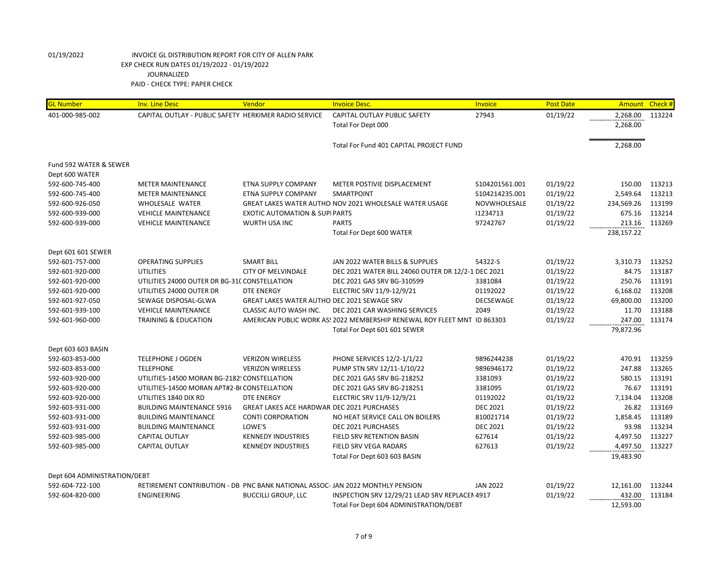| <b>GL Number</b>             | <b>Inv. Line Desc</b>                                                         | Vendor                                            | <b>Invoice Desc.</b>                                                     | Invoice         | <b>Post Date</b> | <b>Amount</b> | Check# |
|------------------------------|-------------------------------------------------------------------------------|---------------------------------------------------|--------------------------------------------------------------------------|-----------------|------------------|---------------|--------|
| 401-000-985-002              | CAPITAL OUTLAY - PUBLIC SAFETY HERKIMER RADIO SERVICE                         |                                                   | CAPITAL OUTLAY PUBLIC SAFETY                                             | 27943           | 01/19/22         | 2,268.00      | 113224 |
|                              |                                                                               |                                                   | Total For Dept 000                                                       |                 |                  | 2,268.00      |        |
|                              |                                                                               |                                                   | Total For Fund 401 CAPITAL PROJECT FUND                                  |                 |                  | 2,268.00      |        |
| Fund 592 WATER & SEWER       |                                                                               |                                                   |                                                                          |                 |                  |               |        |
| Dept 600 WATER               |                                                                               |                                                   |                                                                          |                 |                  |               |        |
| 592-600-745-400              | <b>METER MAINTENANCE</b>                                                      | ETNA SUPPLY COMPANY                               | METER POSTIVIE DISPLACEMENT                                              | \$104201561.001 | 01/19/22         | 150.00        | 113213 |
| 592-600-745-400              | <b>METER MAINTENANCE</b>                                                      | ETNA SUPPLY COMPANY                               | <b>SMARTPOINT</b>                                                        | \$104214235.001 | 01/19/22         | 2,549.64      | 113213 |
| 592-600-926-050              | WHOLESALE WATER                                                               |                                                   | GREAT LAKES WATER AUTHO NOV 2021 WHOLESALE WATER USAGE                   | NOVWHOLESALE    | 01/19/22         | 234,569.26    | 113199 |
| 592-600-939-000              | <b>VEHICLE MAINTENANCE</b>                                                    | <b>EXOTIC AUTOMATION &amp; SUPI PARTS</b>         |                                                                          | 11234713        | 01/19/22         | 675.16        | 113214 |
| 592-600-939-000              | <b>VEHICLE MAINTENANCE</b>                                                    | WURTH USA INC                                     | <b>PARTS</b>                                                             | 97242767        | 01/19/22         | 213.16        | 113269 |
|                              |                                                                               |                                                   | Total For Dept 600 WATER                                                 |                 |                  | 238,157.22    |        |
| Dept 601 601 SEWER           |                                                                               |                                                   |                                                                          |                 |                  |               |        |
| 592-601-757-000              | <b>OPERATING SUPPLIES</b>                                                     | <b>SMART BILL</b>                                 | JAN 2022 WATER BILLS & SUPPLIES                                          | 54322-S         | 01/19/22         | 3,310.73      | 113252 |
| 592-601-920-000              | <b>UTILITIES</b>                                                              | <b>CITY OF MELVINDALE</b>                         | DEC 2021 WATER BILL 24060 OUTER DR 12/2-1 DEC 2021                       |                 | 01/19/22         | 84.75         | 113187 |
| 592-601-920-000              | UTILITIES 24000 OUTER DR BG-31C CONSTELLATION                                 |                                                   | DEC 2021 GAS SRV BG-310599                                               | 3381084         | 01/19/22         | 250.76        | 113191 |
| 592-601-920-000              | UTILITIES 24000 OUTER DR                                                      | <b>DTE ENERGY</b>                                 | ELECTRIC SRV 11/9-12/9/21                                                | 01192022        | 01/19/22         | 6,168.02      | 113208 |
| 592-601-927-050              | SEWAGE DISPOSAL-GLWA                                                          | GREAT LAKES WATER AUTHO DEC 2021 SEWAGE SRV       |                                                                          | DECSEWAGE       | 01/19/22         | 69,800.00     | 113200 |
| 592-601-939-100              | <b>VEHICLE MAINTENANCE</b>                                                    | CLASSIC AUTO WASH INC.                            | DEC 2021 CAR WASHING SERVICES                                            | 2049            | 01/19/22         | 11.70         | 113188 |
| 592-601-960-000              | <b>TRAINING &amp; EDUCATION</b>                                               |                                                   | AMERICAN PUBLIC WORK AS! 2022 MEMBERSHIP RENEWAL ROY FLEET MNT ID 863303 |                 | 01/19/22         | 247.00        | 113174 |
|                              |                                                                               |                                                   | Total For Dept 601 601 SEWER                                             |                 |                  | 79,872.96     |        |
| Dept 603 603 BASIN           |                                                                               |                                                   |                                                                          |                 |                  |               |        |
| 592-603-853-000              | <b>TELEPHONE J OGDEN</b>                                                      | <b>VERIZON WIRELESS</b>                           | PHONE SERVICES 12/2-1/1/22                                               | 9896244238      | 01/19/22         | 470.91        | 113259 |
| 592-603-853-000              | <b>TELEPHONE</b>                                                              | <b>VERIZON WIRELESS</b>                           | PUMP STN SRV 12/11-1/10/22                                               | 9896946172      | 01/19/22         | 247.88        | 113265 |
| 592-603-920-000              | UTILITIES-14500 MORAN BG-2182! CONSTELLATION                                  |                                                   | DEC 2021 GAS SRV BG-218252                                               | 3381093         | 01/19/22         | 580.15        | 113191 |
| 592-603-920-000              | UTILITIES-14500 MORAN APT#2-B(CONSTELLATION                                   |                                                   | DEC 2021 GAS SRV BG-218251                                               | 3381095         | 01/19/22         | 76.67         | 113191 |
| 592-603-920-000              | UTILITIES 1840 DIX RD                                                         | <b>DTE ENERGY</b>                                 | ELECTRIC SRV 11/9-12/9/21                                                | 01192022        | 01/19/22         | 7,134.04      | 113208 |
| 592-603-931-000              | <b>BUILDING MAINTENANCE 5916</b>                                              | <b>GREAT LAKES ACE HARDWAR DEC 2021 PURCHASES</b> |                                                                          | <b>DEC 2021</b> | 01/19/22         | 26.82         | 113169 |
| 592-603-931-000              | <b>BUILDING MAINTENANCE</b>                                                   | <b>CONTI CORPORATION</b>                          | NO HEAT SERVICE CALL ON BOILERS                                          | 810021714       | 01/19/22         | 1,858.45      | 113189 |
| 592-603-931-000              | <b>BUILDING MAINTENANCE</b>                                                   | LOWE'S                                            | DEC 2021 PURCHASES                                                       | <b>DEC 2021</b> | 01/19/22         | 93.98         | 113234 |
| 592-603-985-000              | <b>CAPITAL OUTLAY</b>                                                         | <b>KENNEDY INDUSTRIES</b>                         | FIELD SRV RETENTION BASIN                                                | 627614          | 01/19/22         | 4,497.50      | 113227 |
| 592-603-985-000              | <b>CAPITAL OUTLAY</b>                                                         | <b>KENNEDY INDUSTRIES</b>                         | <b>FIELD SRV VEGA RADARS</b>                                             | 627613          | 01/19/22         | 4,497.50      | 113227 |
|                              |                                                                               |                                                   | Total For Dept 603 603 BASIN                                             |                 |                  | 19,483.90     |        |
| Dept 604 ADMINISTRATION/DEBT |                                                                               |                                                   |                                                                          |                 |                  |               |        |
| 592-604-722-100              | RETIREMENT CONTRIBUTION - DB PNC BANK NATIONAL ASSOC-JAN 2022 MONTHLY PENSION |                                                   |                                                                          | <b>JAN 2022</b> | 01/19/22         | 12,161.00     | 113244 |
| 592-604-820-000              | ENGINEERING                                                                   | <b>BUCCILLI GROUP, LLC</b>                        | INSPECTION SRV 12/29/21 LEAD SRV REPLACEN 4917                           |                 | 01/19/22         | 432.00        | 113184 |
|                              |                                                                               |                                                   | Total For Dept 604 ADMINISTRATION/DEBT                                   |                 |                  | 12,593.00     |        |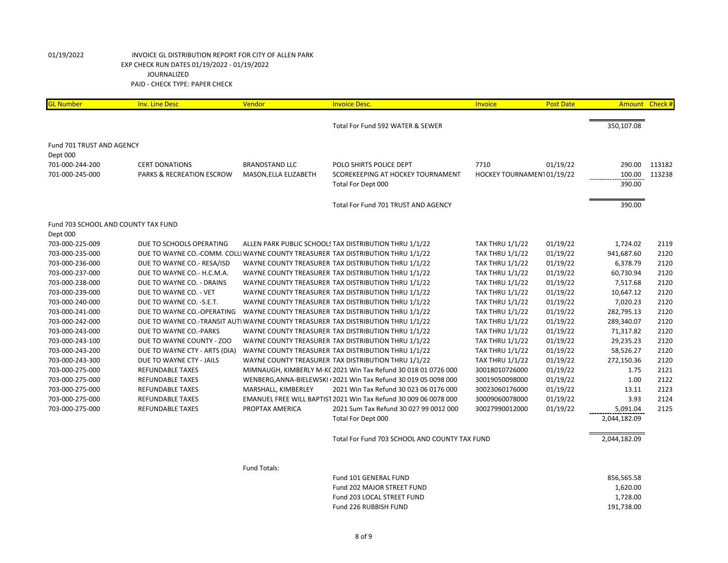| <b>GL Number</b>                    | <b>Inv. Line Desc</b>                | Vendor                | <b>Invoice Desc.</b>                                                              | Invoice                   | <b>Post Date</b> |              | Amount Check # |
|-------------------------------------|--------------------------------------|-----------------------|-----------------------------------------------------------------------------------|---------------------------|------------------|--------------|----------------|
|                                     |                                      |                       | Total For Fund 592 WATER & SEWER                                                  |                           |                  | 350,107.08   |                |
|                                     |                                      |                       |                                                                                   |                           |                  |              |                |
| Fund 701 TRUST AND AGENCY           |                                      |                       |                                                                                   |                           |                  |              |                |
| Dept 000                            |                                      |                       |                                                                                   |                           |                  |              |                |
| 701-000-244-200                     | <b>CERT DONATIONS</b>                | <b>BRANDSTAND LLC</b> | POLO SHIRTS POLICE DEPT                                                           | 7710                      | 01/19/22         | 290.00       | 113182         |
| 701-000-245-000                     | <b>PARKS &amp; RECREATION ESCROW</b> | MASON, ELLA ELIZABETH | SCOREKEEPING AT HOCKEY TOURNAMENT                                                 | HOCKEY TOURNAMEN101/19/22 |                  | 100.00       | 113238         |
|                                     |                                      |                       | Total For Dept 000                                                                |                           |                  | 390.00       |                |
|                                     |                                      |                       | Total For Fund 701 TRUST AND AGENCY                                               |                           |                  | 390.00       |                |
| Fund 703 SCHOOL AND COUNTY TAX FUND |                                      |                       |                                                                                   |                           |                  |              |                |
| Dept 000                            |                                      |                       |                                                                                   |                           |                  |              |                |
| 703-000-225-009                     | DUE TO SCHOOLS OPERATING             |                       | ALLEN PARK PUBLIC SCHOOLS TAX DISTRIBUTION THRU 1/1/22                            | <b>TAX THRU 1/1/22</b>    | 01/19/22         | 1,724.02     | 2119           |
| 703-000-235-000                     |                                      |                       | DUE TO WAYNE CO.-COMM. COLLI WAYNE COUNTY TREASURER TAX DISTRIBUTION THRU 1/1/22  | <b>TAX THRU 1/1/22</b>    | 01/19/22         | 941,687.60   | 2120           |
| 703-000-236-000                     | DUE TO WAYNE CO.- RESA/ISD           |                       | WAYNE COUNTY TREASURER TAX DISTRIBUTION THRU 1/1/22                               | <b>TAX THRU 1/1/22</b>    | 01/19/22         | 6,378.79     | 2120           |
| 703-000-237-000                     | DUE TO WAYNE CO.- H.C.M.A.           |                       | WAYNE COUNTY TREASURER TAX DISTRIBUTION THRU 1/1/22                               | <b>TAX THRU 1/1/22</b>    | 01/19/22         | 60,730.94    | 2120           |
| 703-000-238-000                     | DUE TO WAYNE CO. - DRAINS            |                       | WAYNE COUNTY TREASURER TAX DISTRIBUTION THRU 1/1/22                               | <b>TAX THRU 1/1/22</b>    | 01/19/22         | 7,517.68     | 2120           |
| 703-000-239-000                     | DUE TO WAYNE CO. - VET               |                       | WAYNE COUNTY TREASURER TAX DISTRIBUTION THRU 1/1/22                               | <b>TAX THRU 1/1/22</b>    | 01/19/22         | 10,647.12    | 2120           |
| 703-000-240-000                     | DUE TO WAYNE CO. - S.E.T.            |                       | WAYNE COUNTY TREASURER TAX DISTRIBUTION THRU 1/1/22                               | <b>TAX THRU 1/1/22</b>    | 01/19/22         | 7,020.23     | 2120           |
| 703-000-241-000                     | DUE TO WAYNE CO.-OPERATING           |                       | WAYNE COUNTY TREASURER TAX DISTRIBUTION THRU 1/1/22                               | <b>TAX THRU 1/1/22</b>    | 01/19/22         | 282,795.13   | 2120           |
| 703-000-242-000                     |                                      |                       | DUE TO WAYNE CO.-TRANSIT AUTI WAYNE COUNTY TREASURER TAX DISTRIBUTION THRU 1/1/22 | <b>TAX THRU 1/1/22</b>    | 01/19/22         | 289,340.07   | 2120           |
| 703-000-243-000                     | DUE TO WAYNE CO.-PARKS               |                       | WAYNE COUNTY TREASURER TAX DISTRIBUTION THRU 1/1/22                               | <b>TAX THRU 1/1/22</b>    | 01/19/22         | 71,317.82    | 2120           |
| 703-000-243-100                     | DUE TO WAYNE COUNTY - ZOO            |                       | WAYNE COUNTY TREASURER TAX DISTRIBUTION THRU 1/1/22                               | <b>TAX THRU 1/1/22</b>    | 01/19/22         | 29,235.23    | 2120           |
| 703-000-243-200                     | DUE TO WAYNE CTY - ARTS (DIA)        |                       | WAYNE COUNTY TREASURER TAX DISTRIBUTION THRU 1/1/22                               | <b>TAX THRU 1/1/22</b>    | 01/19/22         | 58,526.27    | 2120           |
| 703-000-243-300                     | DUE TO WAYNE CTY - JAILS             |                       | WAYNE COUNTY TREASURER TAX DISTRIBUTION THRU 1/1/22                               | <b>TAX THRU 1/1/22</b>    | 01/19/22         | 272,150.36   | 2120           |
| 703-000-275-000                     | <b>REFUNDABLE TAXES</b>              |                       | MIMNAUGH, KIMBERLY M-KC 2021 Win Tax Refund 30 018 01 0726 000                    | 30018010726000            | 01/19/22         | 1.75         | 2121           |
| 703-000-275-000                     | <b>REFUNDABLE TAXES</b>              |                       | WENBERG, ANNA-BIELEWSKI (2021 Win Tax Refund 30 019 05 0098 000                   | 30019050098000            | 01/19/22         | 1.00         | 2122           |
| 703-000-275-000                     | <b>REFUNDABLE TAXES</b>              | MARSHALL, KIMBERLEY   | 2021 Win Tax Refund 30 023 06 0176 000                                            | 30023060176000            | 01/19/22         | 13.11        | 2123           |
| 703-000-275-000                     | <b>REFUNDABLE TAXES</b>              |                       | EMANUEL FREE WILL BAPTIST 2021 Win Tax Refund 30 009 06 0078 000                  | 30009060078000            | 01/19/22         | 3.93         | 2124           |
| 703-000-275-000                     | <b>REFUNDABLE TAXES</b>              | PROPTAX AMERICA       | 2021 Sum Tax Refund 30 027 99 0012 000                                            | 30027990012000            | 01/19/22         | 5,091.04     | 2125           |
|                                     |                                      |                       | Total For Dept 000                                                                |                           |                  | 2,044,182.09 |                |
|                                     |                                      |                       | Total For Fund 703 SCHOOL AND COUNTY TAX FUND                                     |                           |                  | 2,044,182.09 |                |
|                                     |                                      |                       |                                                                                   |                           |                  |              |                |
|                                     |                                      | Fund Totals:          |                                                                                   |                           |                  |              |                |
|                                     |                                      |                       | Fund 101 GENERAL FUND                                                             |                           |                  | 856,565.58   |                |
|                                     |                                      |                       | Fund 202 MAJOR STREET FUND                                                        |                           |                  | 1,620.00     |                |
|                                     |                                      |                       | Fund 203 LOCAL STREET FUND                                                        |                           |                  | 1,728.00     |                |
|                                     |                                      |                       | Fund 226 RUBBISH FUND                                                             |                           |                  | 191,738.00   |                |